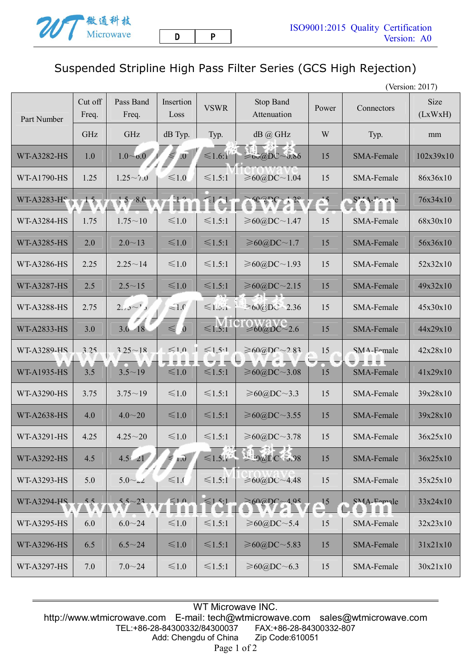## Suspended Stripline High Pass Filter Series (GCS High Rejection)

(Version: 2017)

| Part Number        | Cut off<br>Freq. | Pass Band<br>Freq. | Insertion<br>Loss      | <b>VSWR</b>  | Stop Band<br>Attenuation       | Power                      | Connectors                | Size<br>(LxWxH) |
|--------------------|------------------|--------------------|------------------------|--------------|--------------------------------|----------------------------|---------------------------|-----------------|
|                    | GHz              | GHz                | dB Typ.                | Typ.         | $dB$ $@$ GHz                   | W                          | Typ.                      | mm              |
| <b>WT-A3282-HS</b> | 1.0              | $1.0 \sim 0.0$     | $\overline{0}$         | $\leq 1.6:1$ | $\geq 60$ @DC~0.86             | 15                         | SMA-Female                | 102x39x10       |
| WT-A1790-HS        | 1.25             | $1.25 \sim 7.0$    | $\leq 1.0$             | $\leq 1.5:1$ | ≥60@DC~1.04                    | 15                         | SMA-Female                | 86x36x10        |
| WT-A3283-HS        | 15.              | $15 - 8.0$         | $-1.0$                 | $\leq 1$     | $62PC - 12$                    | $\Rightarrow$              | $S^{\mu}$ 4. $F^{\mu}$ le | 76x34x10        |
| <b>WT-A3284-HS</b> | 1.75             | $1.75 - 10$        | $≤1.0$                 | $\leq 1.5:1$ | ≥60@DC~1.47                    | 15                         | SMA-Female                | 68x30x10        |
| <b>WT-A3285-HS</b> | 2.0              | $2.0 - 13$         | ≤1.0                   | $\leq 1.5:1$ | $\geq 60$ @DC~1.7              | 15                         | SMA-Female                | 56x36x10        |
| <b>WT-A3286-HS</b> | 2.25             | $2.25 - 14$        | $\leq 1.0$             | $\leq 1.5:1$ | ≥60@DC~1.93                    | 15                         | SMA-Female                | 52x32x10        |
| <b>WT-A3287-HS</b> | 2.5              | $2.5 \sim 15$      | ≤1.0                   | ≤1.5:1       | ≥60@DC~2.15                    | 15                         | SMA-Female                | 49x32x10        |
| <b>WT-A3288-HS</b> | 2.75             | $2.75 - 1.5$       | $\leq 1.0$             | $\leq 1.3.1$ | $\geq 60 \text{(d)}$ DC ~ 2.36 | 15                         | SMA-Female                | 45x30x10        |
| <b>WT-A2833-HS</b> | 3.0              | $3.0 - 18$         | $\leq$<br>$\mathbf{0}$ | ≤1.5:1       | $\geq 60(a)DC - 2.6$           | 15                         | SMA-Female                | 44x29x10        |
| WT-A3289-HS        | 3 25             | $3.25 - 18$        | $\leq 1,0$             | $\leq 1.5:1$ | $\geq 60$ @DC~283              | 15                         | SMA-Female                | 42x28x10        |
| <b>WT-A1935-HS</b> | 3.5              | $3.5 - 19$         | F.<br>≤1.0             | $≤1.5:1$     | ≥60@DC~3.08                    | 15                         | ▼■■■■<br>SMA-Female       | 41x29x10        |
| <b>WT-A3290-HS</b> | 3.75             | $3.75 - 19$        | $\leq 1.0$             | $\leq 1.5:1$ | $\geq 60$ @DC~3.3              | 15                         | SMA-Female                | 39x28x10        |
| <b>WT-A2638-HS</b> | 4.0              | $4.0 - 20$         | ≤1.0                   | ≤1.5:1       | ≥60@DC~3.55                    | 15                         | SMA-Female                | 39x28x10        |
| <b>WT-A3291-HS</b> | 4.25             | $4.25 - 20$        | ≤1.0                   | $\leq 1.5:1$ | ≥60@DC~3.78                    | 15                         | SMA-Female                | 36x25x10        |
| <b>WT-A3292-HS</b> | 4.5              | $4.5 - 21$         | $\leq$<br>1.0          | $\leq 1.5$   | $2000C - 3.98$                 | 15                         | <b>SMA-Female</b>         | 36x25x10        |
| WT-A3293-HS        | 5.0              | $5.0 \sim 22$      | $\leq 1.0$             | $\leq 1.5:1$ | ≥60(a)DC~4.48                  | 15                         | SMA-Female                | 35x25x10        |
| WT-A3294-HS        | $\frac{5}{3}$    | $5.5 - 23$         | $\leq 1.0$             | $\leq 1.5:1$ | $\geq 60$ @DC ~ 4.95           | $\frac{15}{2}$<br>$\equiv$ | $SMA$ -Eamale             | 33x24x10        |
| WT-A3295-HS        | 6.0              | $6.0 - 24$         | $\leq 1.0$             | $\leq 1.5:1$ | $\geq 60$ @DC~5.4              | 15                         | SMA-Female                | 32x23x10        |
| WT-A3296-HS        | 6.5              | $6.5 - 24$         | ≤1.0                   | $\leq 1.5:1$ | $\geq 60$ (a)DC ~ 5.83         | 15                         | SMA-Female                | 31x21x10        |
| WT-A3297-HS        | 7.0              | $7.0 - 24$         | ≤1.0                   | $\leq 1.5:1$ | $\geq 60$ @DC~6.3              | 15                         | SMA-Female                | 30x21x10        |